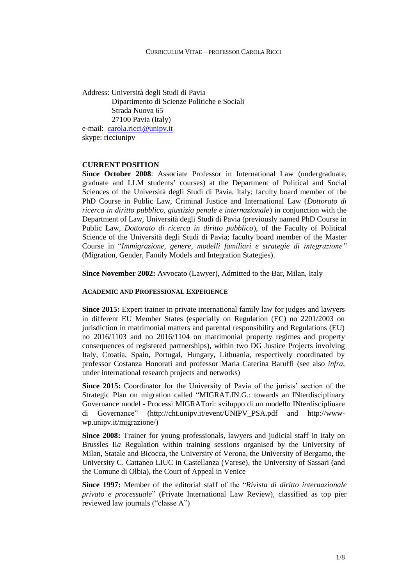Address: Università degli Studi di Pavia Dipartimento di Scienze Politiche e Sociali Strada Nuova 65 27100 Pavia (Italy) e-mail: [carola.ricci@unipv.it](mailto:carola.ricci@unipv.it) skype: ricciunipv

# **CURRENT POSITION**

**Since October 2008**: Associate Professor in International Law (undergraduate, graduate and LLM students' courses) at the Department of Political and Social Sciences of the Università degli Studi di Pavia, Italy; faculty board member of the PhD Course in Public Law, Criminal Justice and International Law (*Dottorato di ricerca in diritto pubblico, giustizia penale e internazionale*) in conjunction with the Department of Law, Università degli Studi di Pavia (previously named PhD Course in Public Law, *Dottorato di ricerca in diritto pubblico*), of the Faculty of Political Science of the Università degli Studi di Pavia; faculty board member of the Master Course in "*Immigrazione, genere, modelli familiari e strategie di integrazione"* (Migration, Gender, Family Models and Integration Stategies).

**Since November 2002:** Avvocato (Lawyer), Admitted to the Bar, Milan, Italy

### **ACADEMIC AND PROFESSIONAL EXPERIENCE**

**Since 2015:** Expert trainer in private international family law for judges and lawyers in different EU Member States (especially on Regulation (EC) no 2201/2003 on jurisdiction in matrimonial matters and parental responsibility and Regulations (EU) no 2016/1103 and no 2016/1104 on matrimonial property regimes and property consequences of registered partnerships), within two DG Justice Projects involving Italy, Croatia, Spain, Portugal, Hungary, Lithuania, respectively coordinated by professor Costanza Honorati and professor Maria Caterina Baruffi (see also *infra*, under international research projects and networks)

**Since 2015:** Coordinator for the University of Pavia of the jurists' section of the Strategic Plan on migration called "MIGRAT.IN.G.: towards an INterdisciplinary Governance model - Processi MIGRATori: sviluppo di un modello INterdisciplinare di Governance" (http://cht.unipv.it/event/UNIPV\_PSA.pdf and http://wwwwp.unipv.it/migrazione/)

**Since 2008:** Trainer for young professionals, lawyers and judicial staff in Italy on Brussles II*a* Regulation within training sessions organised by the University of Milan, Statale and Bicocca, the University of Verona, the University of Bergamo, the University C. Cattaneo LIUC in Castellanza (Varese), the University of Sassari (and the Comune di Olbia), the Court of Appeal in Venice

**Since 1997:** Member of the editorial staff of the "*Rivista di diritto internazionale privato e processuale*" (Private International Law Review), classified as top pier reviewed law journals ("classe A")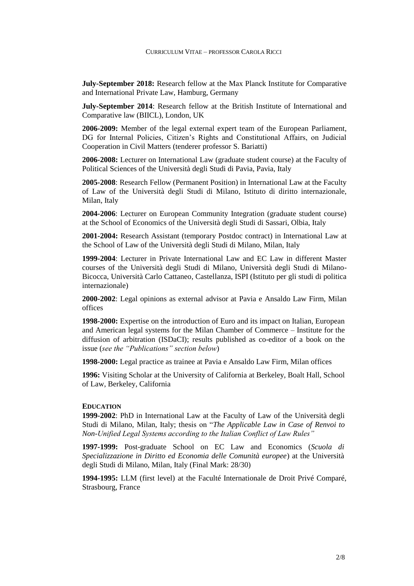**July-September 2018:** Research fellow at the Max Planck Institute for Comparative and International Private Law, Hamburg, Germany

**July-September 2014**: Research fellow at the British Institute of International and Comparative law (BIICL), London, UK

**2006-2009:** Member of the legal external expert team of the European Parliament, DG for Internal Policies, Citizen's Rights and Constitutional Affairs, on Judicial Cooperation in Civil Matters (tenderer professor S. Bariatti)

**2006-2008:** Lecturer on International Law (graduate student course) at the Faculty of Political Sciences of the Università degli Studi di Pavia, Pavia, Italy

**2005-2008**: Research Fellow (Permanent Position) in International Law at the Faculty of Law of the Università degli Studi di Milano, Istituto di diritto internazionale, Milan, Italy

**2004-2006**: Lecturer on European Community Integration (graduate student course) at the School of Economics of the Università degli Studi di Sassari, Olbia, Italy

**2001-2004:** Research Assistant (temporary Postdoc contract) in International Law at the School of Law of the Università degli Studi di Milano, Milan, Italy

**1999-2004**: Lecturer in Private International Law and EC Law in different Master courses of the Università degli Studi di Milano, Università degli Studi di Milano-Bicocca, Università Carlo Cattaneo, Castellanza, ISPI (Istituto per gli studi di politica internazionale)

**2000-2002**: Legal opinions as external advisor at Pavia e Ansaldo Law Firm, Milan offices

**1998-2000:** Expertise on the introduction of Euro and its impact on Italian, European and American legal systems for the Milan Chamber of Commerce – Institute for the diffusion of arbitration (ISDaCI); results published as co-editor of a book on the issue (*see the "Publications" section below*)

**1998-2000:** Legal practice as trainee at Pavia e Ansaldo Law Firm, Milan offices

**1996:** Visiting Scholar at the University of California at Berkeley, Boalt Hall, School of Law, Berkeley, California

#### **EDUCATION**

**1999-2002**: PhD in International Law at the Faculty of Law of the Università degli Studi di Milano, Milan, Italy; thesis on "*The Applicable Law in Case of Renvoi to Non-Unified Legal Systems according to the Italian Conflict of Law Rules"*

**1997-1999:** Post-graduate School on EC Law and Economics (*Scuola di Specializzazione in Diritto ed Economia delle Comunità europee*) at the Università degli Studi di Milano, Milan, Italy (Final Mark: 28/30)

**1994-1995:** LLM (first level) at the Faculté Internationale de Droit Privé Comparé, Strasbourg, France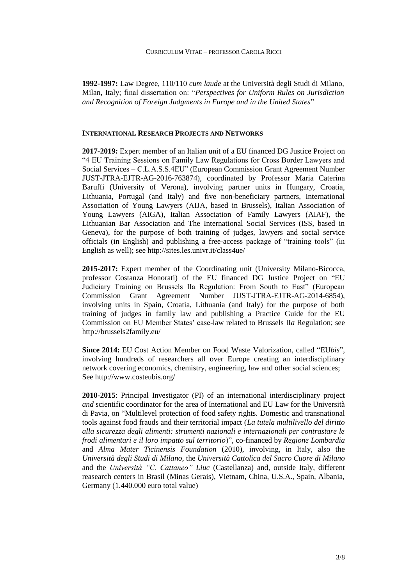**1992-1997:** Law Degree, 110/110 *cum laude* at the Università degli Studi di Milano, Milan, Italy; final dissertation on: "*Perspectives for Uniform Rules on Jurisdiction and Recognition of Foreign Judgments in Europe and in the United States*"

# **INTERNATIONAL RESEARCH PROJECTS AND NETWORKS**

**2017-2019:** Expert member of an Italian unit of a EU financed DG Justice Project on "4 EU Training Sessions on Family Law Regulations for Cross Border Lawyers and Social Services – C.L.A.S.S.4EU" (European Commission Grant Agreement Number JUST-JTRA-EJTR-AG-2016-763874), coordinated by Professor Maria Caterina Baruffi (University of Verona), involving partner units in Hungary, Croatia, Lithuania, Portugal (and Italy) and five non-beneficiary partners, International Association of Young Lawyers (AIJA, based in Brussels), Italian Association of Young Lawyers (AIGA), Italian Association of Family Lawyers (AIAF), the Lithuanian Bar Association and The International Social Services (ISS, based in Geneva), for the purpose of both training of judges, lawyers and social service officials (in English) and publishing a free-access package of "training tools" (in English as well); see http://sites.les.univr.it/class4ue/

**2015-2017:** Expert member of the Coordinating unit (University Milano-Bicocca, professor Costanza Honorati) of the EU financed DG Justice Project on "EU Judiciary Training on Brussels IIa Regulation: From South to East" (European Commission Grant Agreement Number JUST-JTRA-EJTR-AG-2014-6854), involving units in Spain, Croatia, Lithuania (and Italy) for the purpose of both training of judges in family law and publishing a Practice Guide for the EU Commission on EU Member States' case-law related to Brussels II*a* Regulation; see http://brussels2family.eu/

**Since 2014:** EU Cost Action Member on Food Waste Valorization, called "EU*bis*", involving hundreds of researchers all over Europe creating an interdisciplinary network covering economics, chemistry, engineering, law and other social sciences; See http://www.costeubis.org/

**2010-2015**: Principal Investigator (PI) of an international interdisciplinary project *and* scientific coordinator for the area of International and EU Law for the Università di Pavia, on "Multilevel protection of food safety rights. Domestic and transnational tools against food frauds and their territorial impact (*La tutela multilivello del diritto alla sicurezza degli alimenti: strumenti nazionali e internazionali per contrastare le frodi alimentari e il loro impatto sul territorio*)", co-financed by *Regione Lombardia* and *Alma Mater Ticinensis Foundation* (2010), involving, in Italy, also the *Università degli Studi di Milano*, the *Università Cattolica del Sacro Cuore di Milano*  and the *Università "C. Cattaneo" Liuc* (Castellanza) and, outside Italy, different reasearch centers in Brasil (Minas Gerais), Vietnam, China, U.S.A., Spain, Albania, Germany (1.440.000 euro total value)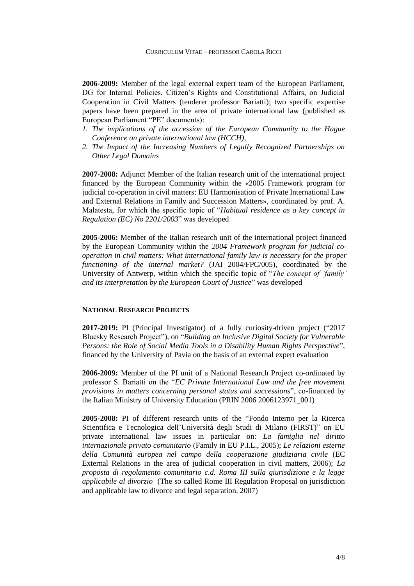**2006-2009:** Member of the legal external expert team of the European Parliament, DG for Internal Policies, Citizen's Rights and Constitutional Affairs, on Judicial Cooperation in Civil Matters (tenderer professor Bariatti); two specific expertise papers have been prepared in the area of private international law (published as European Parliament "PE" documents):

- *1. The implications of the accession of the European Community to the Hague Conference on private international law (HCCH)*,
- *2. The Impact of the Increasing Numbers of Legally Recognized Partnerships on Other Legal Domains*

**2007-2008:** Adjunct Member of the Italian research unit of the international project financed by the European Community within the «2005 Framework program for judicial co-operation in civil matters: EU Harmonisation of Private International Law and External Relations in Family and Succession Matters», coordinated by prof. A. Malatesta, for which the specific topic of "*Habitual residence as a key concept in Regulation (EC) No 2201/2003*" was developed

**2005-2006:** Member of the Italian research unit of the international project financed by the European Community within the *2004 Framework program for judicial cooperation in civil matters: What international family law is necessary for the proper functioning of the internal market?* (JAI 2004/FPC/005), coordinated by the University of Antwerp, within which the specific topic of "*The concept of 'family' and its interpretation by the European Court of Justice*" was developed

# **NATIONAL RESEARCH PROJECTS**

**2017-2019:** PI (Principal Investigator) of a fully curiosity-driven project ("2017 Bluesky Research Project"), on "*Building an Inclusive Digital Society for Vulnerable Persons: the Role of Social Media Tools in a Disability Human Rights Perspective*", financed by the University of Pavia on the basis of an external expert evaluation

**2006-2009:** Member of the PI unit of a National Research Project co-ordinated by professor S. Bariatti on the "*EC Private International Law and the free movement provisions in matters concerning personal status and successions*", co-financed by the Italian Ministry of University Education (PRIN 2006 2006123971\_001)

**2005-2008:** PI of different research units of the "Fondo Interno per la Ricerca Scientifica e Tecnologica dell'Università degli Studi di Milano (FIRST)" on EU private international law issues in particular on: *La famiglia nel diritto internazionale privato comunitario* (Family in EU P.I.L., 2005); *Le relazioni esterne della Comunità europea nel campo della cooperazione giudiziaria civile* (EC External Relations in the area of judicial cooperation in civil matters, 2006); *La proposta di regolamento comunitario c.d. Roma III sulla giurisdizione e la legge applicabile al divorzio* (The so called Rome III Regulation Proposal on jurisdiction and applicable law to divorce and legal separation, 2007)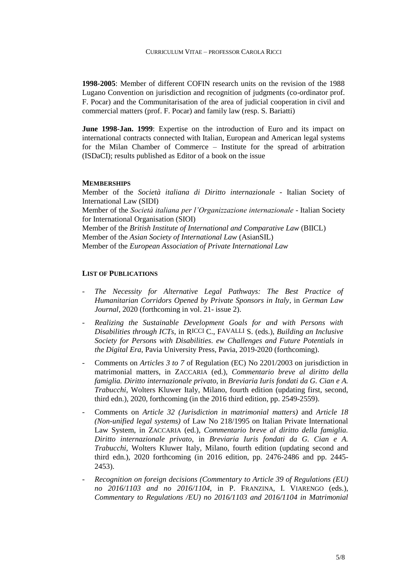**1998-2005**: Member of different COFIN research units on the revision of the 1988 Lugano Convention on jurisdiction and recognition of judgments (co-ordinator prof. F. Pocar) and the Communitarisation of the area of judicial cooperation in civil and commercial matters (prof. F. Pocar) and family law (resp. S. Bariatti)

**June 1998-Jan. 1999**: Expertise on the introduction of Euro and its impact on international contracts connected with Italian, European and American legal systems for the Milan Chamber of Commerce – Institute for the spread of arbitration (ISDaCI); results published as Editor of a book on the issue

#### **MEMBERSHIPS**

Member of the *Società italiana di Diritto internazionale* - Italian Society of International Law (SIDI) Member of the *Società italiana per l'Organizzazione internazionale* - Italian Society for International Organisation (SIOI) Member of the *British Institute of International and Comparative Law* (BIICL) Member of the *Asian Society of International Law* (AsianSIL) Member of the *European Association of Private International Law*

### **LIST OF PUBLICATIONS**

- *The Necessity for Alternative Legal Pathways: The Best Practice of Humanitarian Corridors Opened by Private Sponsors in Italy*, in *German Law Journal*, 2020 (forthcoming in vol. 21- issue 2).
- *Realizing the Sustainable Development Goals for and with Persons with Disabilities through ICTs*, in RICCI C., FAVALLI S. (eds.), *Building an Inclusive Society for Persons with Disabilities. ew Challenges and Future Potentials in the Digital Era*, Pavia University Press, Pavia, 2019-2020 (forthcoming).
- Comments on *Articles 3 to 7* of Regulation (EC) No 2201/2003 on jurisdiction in matrimonial matters, in ZACCARIA (ed.), *Commentario breve al diritto della famiglia. Diritto internazionale privato*, in *Breviaria Iuris fondati da G. Cian e A. Trabucchi*, Wolters Kluwer Italy, Milano, fourth edition (updating first, second, third edn.), 2020, forthcoming (in the 2016 third edition, pp. 2549-2559).
- Comments on *Article 32 (Jurisdiction in matrimonial matters)* and *Article 18 (Non-unified legal systems)* of Law No 218/1995 on Italian Private International Law System, in ZACCARIA (ed.), *Commentario breve al diritto della famiglia. Diritto internazionale privato*, in *Breviaria Iuris fondati da G. Cian e A. Trabucchi*, Wolters Kluwer Italy, Milano, fourth edition (updating second and third edn.), 2020 forthcoming (in 2016 edition, pp. 2476-2486 and pp. 2445- 2453).
- *Recognition on foreign decisions (Commentary to Article 39 of Regulations (EU) no 2016/1103 and no 2016/1104*, in P. FRANZINA, I. VIARENGO (eds.), *Commentary to Regulations /EU) no 2016/1103 and 2016/1104 in Matrimonial*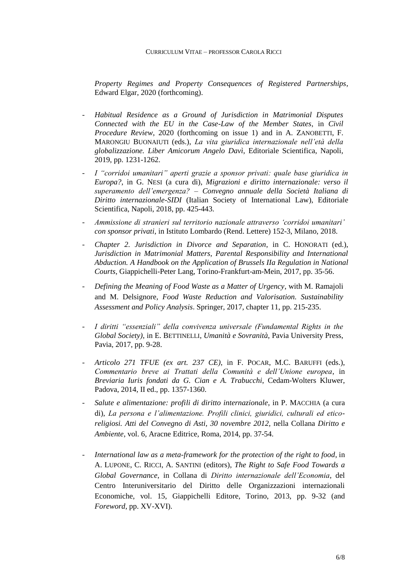*Property Regimes and Property Consequences of Registered Partnerships*, Edward Elgar, 2020 (forthcoming).

- *Habitual Residence as a Ground of Jurisdiction in Matrimonial Disputes Connected with the EU in the Case-Law of the Member States*, in *Civil Procedure Review*, 2020 (forthcoming on issue 1) and in A. ZANOBETTI, F. MARONGIU BUONAIUTI (eds.), *La vita giuridica internazionale nell'età della globalizzazione. Liber Amicorum Angelo Davì*, Editoriale Scientifica, Napoli, 2019, pp. 1231-1262.
- *I "corridoi umanitari" aperti grazie a sponsor privati: quale base giuridica in Europa?*, in G. NESI (a cura di), *Migrazioni e diritto internazionale: verso il superamento dell'emergenza? – Convegno annuale della Società Italiana di Diritto internazionale-SIDI* (Italian Society of International Law), Editoriale Scientifica, Napoli, 2018, pp. 425-443.
- *Ammissione di stranieri sul territorio nazionale attraverso 'corridoi umanitari' con sponsor privati*, in Istituto Lombardo (Rend. Lettere) 152-3, Milano, 2018.
- *Chapter 2. Jurisdiction in Divorce and Separation*, in C. HONORATI (ed.), *Jurisdiction in Matrimonial Matters, Parental Responsibility and International Abduction. A Handbook on the Application of Brussels IIa Regulation in National Courts*, Giappichelli-Peter Lang, Torino-Frankfurt-am-Mein, 2017, pp. 35-56.
- *Defining the Meaning of Food Waste as a Matter of Urgency*, with M. Ramajoli and M. Delsignore, *Food Waste Reduction and Valorisation. Sustainability Assessment and Policy Analysis*, Springer, 2017, chapter 11, pp. 215-235.
- *I diritti "essenziali" della convivenza universale (Fundamental Rights in the Global Society),* in E. BETTINELLI, *Umanità e Sovranità*, Pavia University Press, Pavia, 2017, pp. 9-28.
- *Articolo 271 TFUE (ex art. 237 CE)*, in F. POCAR, M.C. BARUFFI (eds.), *Commentario breve ai Trattati della Comunità e dell'Unione europea*, in *Breviaria Iuris fondati da G. Cian e A. Trabucchi*, Cedam-Wolters Kluwer, Padova, 2014, II ed., pp. 1357-1360.
- *Salute e alimentazione: profili di diritto internazionale*, in P. MACCHIA (a cura di), *La persona e l'alimentazione. Profili clinici, giuridici, culturali ed eticoreligiosi. Atti del Convegno di Asti, 30 novembre 2012,* nella Collana *Diritto e Ambiente*, vol. 6, Aracne Editrice, Roma, 2014, pp. 37-54.
- *International law as a meta-framework for the protection of the right to food*, in A. LUPONE, C. RICCI, A. SANTINI (editors), *The Right to Safe Food Towards a Global Governance*, in Collana di *Diritto internazionale dell'Economia*, del Centro Interuniversitario del Diritto delle Organizzazioni internazionali Economiche, vol. 15, Giappichelli Editore, Torino, 2013, pp. 9-32 (and *Foreword*, pp. XV-XVI).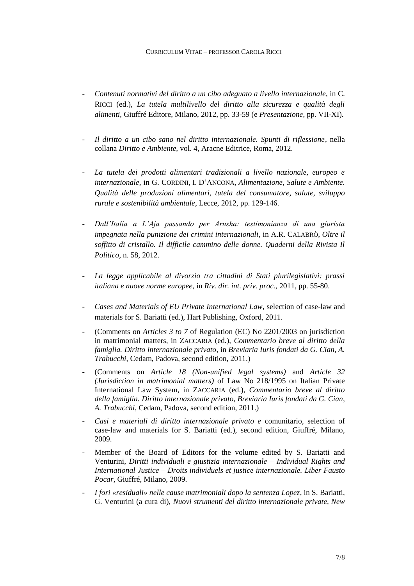- *Contenuti normativi del diritto a un cibo adeguato a livello internazionale*, in C. RICCI (ed.), *La tutela multilivello del diritto alla sicurezza e qualità degli alimenti*, Giuffré Editore, Milano, 2012, pp. 33-59 (e *Presentazione*, pp. VII-XI).
- *Il diritto a un cibo sano nel diritto internazionale. Spunti di riflessione*, nella collana *Diritto e Ambiente,* vol. 4, Aracne Editrice, Roma, 2012.
- *La tutela dei prodotti alimentari tradizionali a livello nazionale, europeo e internazionale*, in G. CORDINI, I. D'ANCONA, *Alimentazione, Salute e Ambiente. Qualità delle produzioni alimentari, tutela del consumatore, salute, sviluppo rurale e sostenibilità ambientale*, Lecce, 2012, pp. 129-146.
- *Dall'Italia a L'Aja passando per Arusha: testimonianza di una giurista impegnata nella punizione dei crimini internazionali*, in A.R. CALABRÒ, *Oltre il soffitto di cristallo. Il difficile cammino delle donne. Quaderni della Rivista Il Politico*, n. 58, 2012.
- *La legge applicabile al divorzio tra cittadini di Stati plurilegislativi: prassi italiana e nuove norme europee*, in *Riv. dir. int. priv. proc.*, 2011, pp. 55-80.
- *Cases and Materials of EU Private International Law*, selection of case-law and materials for S. Bariatti (ed.), Hart Publishing, Oxford, 2011.
- (Comments on *Articles 3 to 7* of Regulation (EC) No 2201/2003 on jurisdiction in matrimonial matters, in ZACCARIA (ed.), *Commentario breve al diritto della famiglia. Diritto internazionale privato*, in *Breviaria Iuris fondati da G. Cian, A. Trabucchi*, Cedam, Padova, second edition, 2011.)
- (Comments on *Article 18 (Non-unified legal systems)* and *Article 32 (Jurisdiction in matrimonial matters)* of Law No 218/1995 on Italian Private International Law System, in ZACCARIA (ed.), *Commentario breve al diritto della famiglia. Diritto internazionale privato*, *Breviaria Iuris fondati da G. Cian, A. Trabucchi*, Cedam, Padova, second edition, 2011.)
- *Casi e materiali di diritto internazionale privato e* comunitario, selection of case-law and materials for S. Bariatti (ed.), second edition, Giuffré, Milano, 2009.
- Member of the Board of Editors for the volume edited by S. Bariatti and Venturini, *Diritti individuali e giustizia internazionale – Individual Rights and International Justice – Droits individuels et justice internazionale. Liber Fausto Pocar*, Giuffré, Milano, 2009.
- *I fori «residuali» nelle cause matrimoniali dopo la sentenza Lopez*, in S. Bariatti, G. Venturini (a cura di), *Nuovi strumenti del diritto internazionale private, New*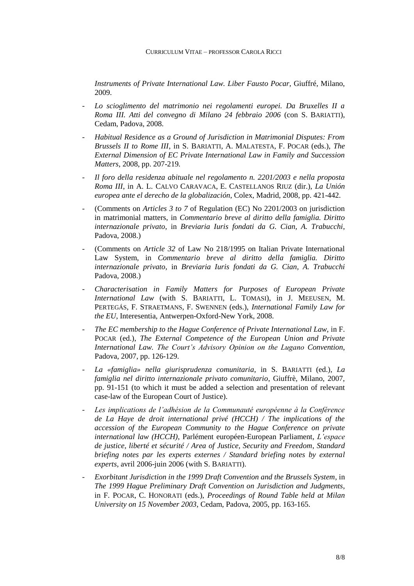*Instruments of Private International Law. Liber Fausto Pocar*, Giuffré, Milano, 2009.

- *Lo scioglimento del matrimonio nei regolamenti europei. Da Bruxelles II a Roma III. Atti del convegno di Milano 24 febbraio 2006* (con S. BARIATTI), Cedam, Padova, 2008.
- *Habitual Residence as a Ground of Jurisdiction in Matrimonial Disputes: From Brussels II to Rome III*, in S. BARIATTI, A. MALATESTA, F. POCAR (eds.), *The External Dimension of EC Private International Law in Family and Succession Matters*, 2008, pp. 207-219*.*
- *Il foro della residenza abituale nel regolamento n. 2201/2003 e nella proposta Roma III*, in A. L. CALVO CARAVACA, E. CASTELLANOS RIUZ (dir.), *La Unión europea ante el derecho de la globalización*, Colex, Madrid, 2008, pp. 421-442.
- (Comments on *Articles 3 to 7* of Regulation (EC) No 2201/2003 on jurisdiction in matrimonial matters, in *Commentario breve al diritto della famiglia. Diritto internazionale privato*, in *Breviaria Iuris fondati da G. Cian, A. Trabucchi*, Padova, 2008.)
- (Comments on *Article 32* of Law No 218/1995 on Italian Private International Law System, in *Commentario breve al diritto della famiglia. Diritto internazionale privato*, in *Breviaria Iuris fondati da G. Cian, A. Trabucchi* Padova, 2008.)
- *Characterisation in Family Matters for Purposes of European Private International Law* (with S. BARIATTI, L. TOMASI), in J. MEEUSEN, M. PERTEGÁS, F. STRAETMANS, F. SWENNEN (eds.), *International Family Law for the EU*, Interesentia, Antwerpen-Oxford-New York, 2008.
- *The EC membership to the Hague Conference of Private International Law,* in F. POCAR (ed.), *The External Competence of the European Union and Private International Law. The Court's Advisory Opinion on the Lugano Convention*, Padova, 2007, pp. 126-129.
- *La «famiglia» nella giurisprudenza comunitaria*, in S. BARIATTI (ed.), *La famiglia nel diritto internazionale privato comunitario*, Giuffrè, Milano, 2007, pp. 91-151 (to which it must be added a selection and presentation of relevant case-law of the European Court of Justice).
- Les *implications de l'adhésion de la Communauté européenne à la Conférence de La Haye de droit international privé (HCCH) / The implications of the accession of the European Community to the Hague Conference on private international law (HCCH)*, Parlément européen-European Parliament, *L'espace de justice, liberté et sécurité / Area of Justice, Security and Freedom*, *Standard briefing notes par les experts externes / Standard briefing notes by external experts*, avril 2006-juin 2006 (with S. BARIATTI).
- *Exorbitant Jurisdiction in the 1999 Draft Convention and the Brussels System*, in *The 1999 Hague Preliminary Draft Convention on Jurisdiction and Judgments*, in F. POCAR, C. HONORATI (eds.), *Proceedings of Round Table held at Milan University on 15 November 2003*, Cedam, Padova, 2005, pp. 163-165.